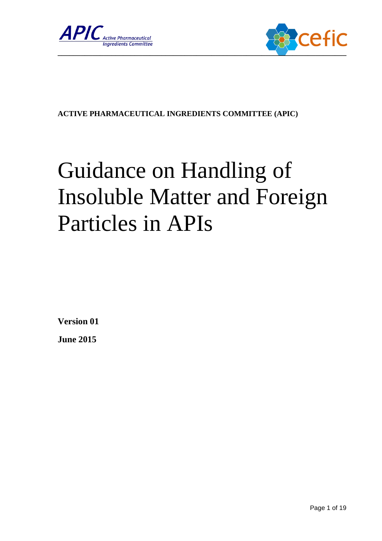



#### **ACTIVE PHARMACEUTICAL INGREDIENTS COMMITTEE (APIC)**

# Guidance on Handling of Insoluble Matter and Foreign Particles in APIs

**Version 01**

**June 2015**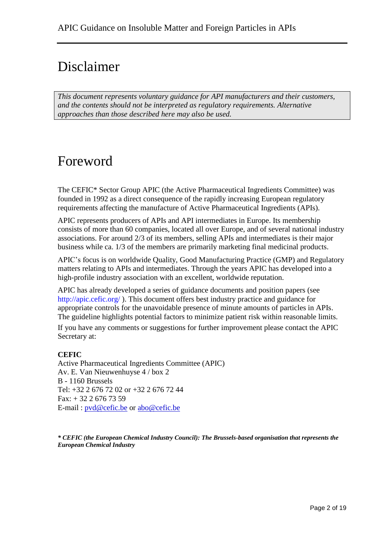# Disclaimer

*This document represents voluntary guidance for API manufacturers and their customers, and the contents should not be interpreted as regulatory requirements. Alternative approaches than those described here may also be used.*

# Foreword

The CEFIC\* Sector Group APIC (the Active Pharmaceutical Ingredients Committee) was founded in 1992 as a direct consequence of the rapidly increasing European regulatory requirements affecting the manufacture of Active Pharmaceutical Ingredients (APIs).

APIC represents producers of APIs and API intermediates in Europe. Its membership consists of more than 60 companies, located all over Europe, and of several national industry associations. For around 2/3 of its members, selling APIs and intermediates is their major business while ca. 1/3 of the members are primarily marketing final medicinal products.

APIC's focus is on worldwide Quality, Good Manufacturing Practice (GMP) and Regulatory matters relating to APIs and intermediates. Through the years APIC has developed into a high-profile industry association with an excellent, worldwide reputation.

APIC has already developed a series of guidance documents and position papers (see http://apic.cefic.org/ ). This document offers best industry practice and guidance for appropriate controls for the unavoidable presence of minute amounts of particles in APIs. The guideline highlights potential factors to minimize patient risk within reasonable limits. If you have any comments or suggestions for further improvement please contact the APIC Secretary at:

#### **CEFIC**

Active Pharmaceutical Ingredients Committee (APIC) Av. E. Van Nieuwenhuyse 4 / box 2 B - 1160 Brussels Tel: +32 2 676 72 02 or +32 2 676 72 44  $Fax: + 3226767359$ E-mail : [pvd@cefic.be](mailto:pvd@cefic.be) or [abo@cefic.be](mailto:abo@cefic.be)

*\* CEFIC (the European Chemical Industry Council): The Brussels-based organisation that represents the European Chemical Industry*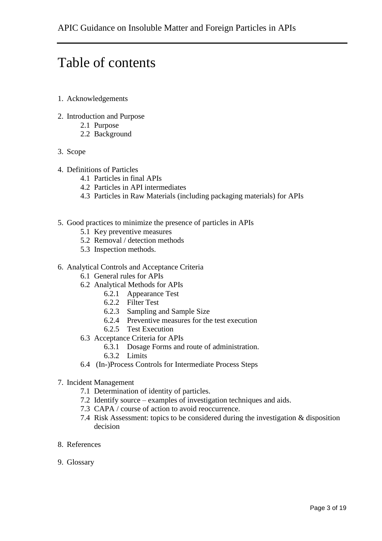# Table of contents

- 1. Acknowledgements
- 2. Introduction and Purpose
	- 2.1 Purpose
	- 2.2 Background
- 3. Scope
- 4. Definitions of Particles
	- 4.1 Particles in final APIs
	- 4.2 Particles in API intermediates
	- 4.3 Particles in Raw Materials (including packaging materials) for APIs
- 5. Good practices to minimize the presence of particles in APIs
	- 5.1 Key preventive measures
	- 5.2 Removal / detection methods
	- 5.3 Inspection methods.
- 6. Analytical Controls and Acceptance Criteria
	- 6.1 General rules for APIs
	- 6.2 Analytical Methods for APIs
		- 6.2.1 Appearance Test
		- 6.2.2 Filter Test
		- 6.2.3 Sampling and Sample Size
		- 6.2.4 Preventive measures for the test execution
		- 6.2.5 Test Execution
	- 6.3 Acceptance Criteria for APIs
		- 6.3.1 Dosage Forms and route of administration.
			- 6.3.2 Limits
	- 6.4 (In-)Process Controls for Intermediate Process Steps
- 7. Incident Management
	- 7.1 Determination of identity of particles.
	- 7.2 Identify source examples of investigation techniques and aids.
	- 7.3 CAPA / course of action to avoid reoccurrence.
	- 7.4 Risk Assessment: topics to be considered during the investigation & disposition decision
- 8. References
- 9. Glossary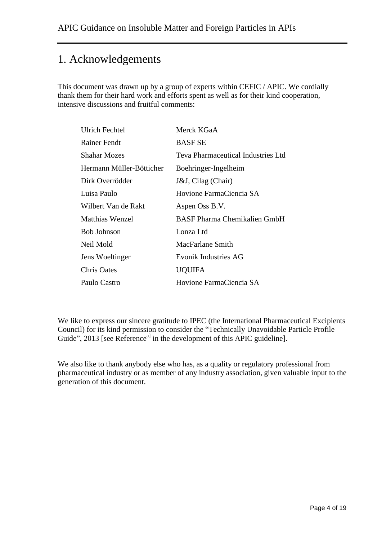# 1. Acknowledgements

This document was drawn up by a group of experts within CEFIC / APIC. We cordially thank them for their hard work and efforts spent as well as for their kind cooperation, intensive discussions and fruitful comments:

| <b>Ulrich Fechtel</b>    | Merck KGaA                          |  |
|--------------------------|-------------------------------------|--|
| Rainer Fendt             | <b>BASF SE</b>                      |  |
| <b>Shahar Mozes</b>      | Teva Pharmaceutical Industries Ltd  |  |
| Hermann Müller-Bötticher | Boehringer-Ingelheim                |  |
| Dirk Overrödder          | J&J, Cilag (Chair)                  |  |
| Luisa Paulo              | Hovione FarmaCiencia SA             |  |
| Wilbert Van de Rakt      | Aspen Oss B.V.                      |  |
| Matthias Wenzel          | <b>BASF Pharma Chemikalien GmbH</b> |  |
| <b>Bob Johnson</b>       | Lonza Ltd                           |  |
| Neil Mold                | MacFarlane Smith                    |  |
| Jens Woeltinger          | Evonik Industries AG                |  |
| Chris Oates              | <b>UQUIFA</b>                       |  |
| Paulo Castro             | Hovione FarmaCiencia SA             |  |

We like to express our sincere gratitude to IPEC (the International Pharmaceutical Excipients Council) for its kind permission to consider the "Technically Unavoidable Particle Profile Guide", 2013 [see Reference<sup>a]</sup> in the development of this APIC guideline].

We also like to thank anybody else who has, as a quality or regulatory professional from pharmaceutical industry or as member of any industry association, given valuable input to the generation of this document.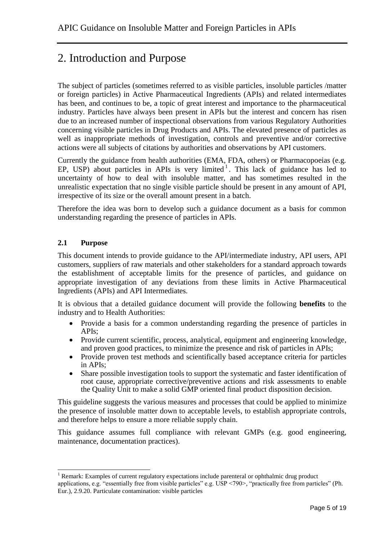# 2. Introduction and Purpose

The subject of particles (sometimes referred to as visible particles, insoluble particles /matter or foreign particles) in Active Pharmaceutical Ingredients (APIs) and related intermediates has been, and continues to be, a topic of great interest and importance to the pharmaceutical industry. Particles have always been present in APIs but the interest and concern has risen due to an increased number of inspectional observations from various Regulatory Authorities concerning visible particles in Drug Products and APIs. The elevated presence of particles as well as inappropriate methods of investigation, controls and preventive and/or corrective actions were all subjects of citations by authorities and observations by API customers.

Currently the guidance from health authorities (EMA, FDA, others) or Pharmacopoeias (e.g. EP, USP) about particles in APIs is very limited<sup>1</sup>. This lack of guidance has led to uncertainty of how to deal with insoluble matter, and has sometimes resulted in the unrealistic expectation that no single visible particle should be present in any amount of API, irrespective of its size or the overall amount present in a batch.

Therefore the idea was born to develop such a guidance document as a basis for common understanding regarding the presence of particles in APIs.

#### **2.1 Purpose**

This document intends to provide guidance to the API/intermediate industry, API users, API customers, suppliers of raw materials and other stakeholders for a standard approach towards the establishment of acceptable limits for the presence of particles, and guidance on appropriate investigation of any deviations from these limits in Active Pharmaceutical Ingredients (APIs) and API Intermediates.

It is obvious that a detailed guidance document will provide the following **benefits** to the industry and to Health Authorities:

- Provide a basis for a common understanding regarding the presence of particles in APIs;
- Provide current scientific, process, analytical, equipment and engineering knowledge, and proven good practices, to minimize the presence and risk of particles in APIs;
- Provide proven test methods and scientifically based acceptance criteria for particles in APIs;
- Share possible investigation tools to support the systematic and faster identification of root cause, appropriate corrective/preventive actions and risk assessments to enable the Quality Unit to make a solid GMP oriented final product disposition decision.

This guideline suggests the various measures and processes that could be applied to minimize the presence of insoluble matter down to acceptable levels, to establish appropriate controls, and therefore helps to ensure a more reliable supply chain.

This guidance assumes full compliance with relevant GMPs (e.g. good engineering, maintenance, documentation practices).

<sup>1</sup>  $<sup>1</sup>$  Remark: Examples of current regulatory expectations include parenteral or ophthalmic drug product</sup> applications, e.g. "essentially free from visible particles" e.g. USP <790>, "practically free from particles" (Ph. Eur.), 2.9.20. Particulate contamination: visible particles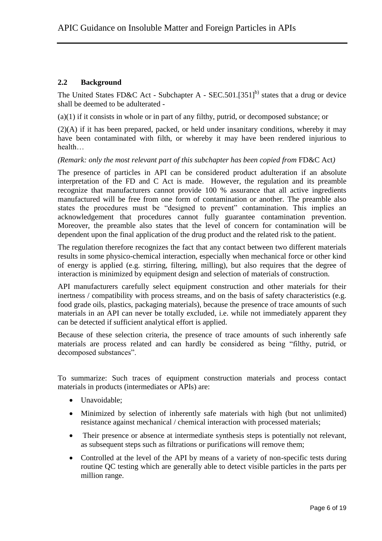#### **2.2 Background**

The United States FD&C Act - Subchapter A - SEC.501.[351]<sup>b)</sup> states that a drug or device shall be deemed to be adulterated -

(a)(1) if it consists in whole or in part of any filthy, putrid, or decomposed substance; or

(2)(A) if it has been prepared, packed, or held under insanitary conditions, whereby it may have been contaminated with filth, or whereby it may have been rendered injurious to health…

*(Remark: only the most relevant part of this subchapter has been copied from FD&C Act)* 

The presence of particles in API can be considered product adulteration if an absolute interpretation of the FD and C Act is made. However, the regulation and its preamble recognize that manufacturers cannot provide 100 % assurance that all active ingredients manufactured will be free from one form of contamination or another. The preamble also states the procedures must be "designed to prevent" contamination. This implies an acknowledgement that procedures cannot fully guarantee contamination prevention. Moreover, the preamble also states that the level of concern for contamination will be dependent upon the final application of the drug product and the related risk to the patient.

The regulation therefore recognizes the fact that any contact between two different materials results in some physico-chemical interaction, especially when mechanical force or other kind of energy is applied (e.g. stirring, filtering, milling), but also requires that the degree of interaction is minimized by equipment design and selection of materials of construction.

API manufacturers carefully select equipment construction and other materials for their inertness / compatibility with process streams, and on the basis of safety characteristics (e.g. food grade oils, plastics, packaging materials), because the presence of trace amounts of such materials in an API can never be totally excluded, i.e. while not immediately apparent they can be detected if sufficient analytical effort is applied.

Because of these selection criteria, the presence of trace amounts of such inherently safe materials are process related and can hardly be considered as being "filthy, putrid, or decomposed substances".

To summarize: Such traces of equipment construction materials and process contact materials in products (intermediates or APIs) are:

- Unavoidable:
- Minimized by selection of inherently safe materials with high (but not unlimited) resistance against mechanical / chemical interaction with processed materials;
- Their presence or absence at intermediate synthesis steps is potentially not relevant, as subsequent steps such as filtrations or purifications will remove them;
- Controlled at the level of the API by means of a variety of non-specific tests during routine QC testing which are generally able to detect visible particles in the parts per million range.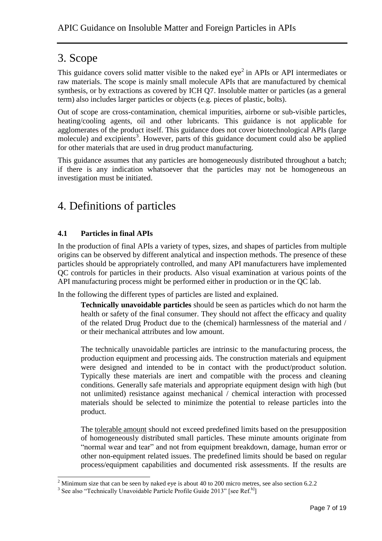## 3. Scope

This guidance covers solid matter visible to the naked  $eye<sup>2</sup>$  in APIs or API intermediates or raw materials. The scope is mainly small molecule APIs that are manufactured by chemical synthesis, or by extractions as covered by ICH Q7. Insoluble matter or particles (as a general term) also includes larger particles or objects (e.g. pieces of plastic, bolts).

Out of scope are cross-contamination, chemical impurities, airborne or sub-visible particles, heating/cooling agents, oil and other lubricants. This guidance is not applicable for agglomerates of the product itself. This guidance does not cover biotechnological APIs (large molecule) and excipients<sup>3</sup>. However, parts of this guidance document could also be applied for other materials that are used in drug product manufacturing.

This guidance assumes that any particles are homogeneously distributed throughout a batch; if there is any indication whatsoever that the particles may not be homogeneous an investigation must be initiated.

# 4. Definitions of particles

#### **4.1 Particles in final APIs**

In the production of final APIs a variety of types, sizes, and shapes of particles from multiple origins can be observed by different analytical and inspection methods. The presence of these particles should be appropriately controlled, and many API manufacturers have implemented QC controls for particles in their products. Also visual examination at various points of the API manufacturing process might be performed either in production or in the QC lab.

In the following the different types of particles are listed and explained.

**Technically unavoidable particles** should be seen as particles which do not harm the health or safety of the final consumer. They should not affect the efficacy and quality of the related Drug Product due to the (chemical) harmlessness of the material and / or their mechanical attributes and low amount.

The technically unavoidable particles are intrinsic to the manufacturing process, the production equipment and processing aids. The construction materials and equipment were designed and intended to be in contact with the product/product solution. Typically these materials are inert and compatible with the process and cleaning conditions. Generally safe materials and appropriate equipment design with high (but not unlimited) resistance against mechanical / chemical interaction with processed materials should be selected to minimize the potential to release particles into the product.

The tolerable amount should not exceed predefined limits based on the presupposition of homogeneously distributed small particles. These minute amounts originate from "normal wear and tear" and not from equipment breakdown, damage, human error or other non-equipment related issues. The predefined limits should be based on regular process/equipment capabilities and documented risk assessments. If the results are

<sup>-</sup><sup>2</sup> Minimum size that can be seen by naked eye is about 40 to 200 micro metres, see also section 6.2.2

<sup>&</sup>lt;sup>3</sup> See also "Technically Unavoidable Particle Profile Guide 2013" [see Ref.<sup>b]</sup>]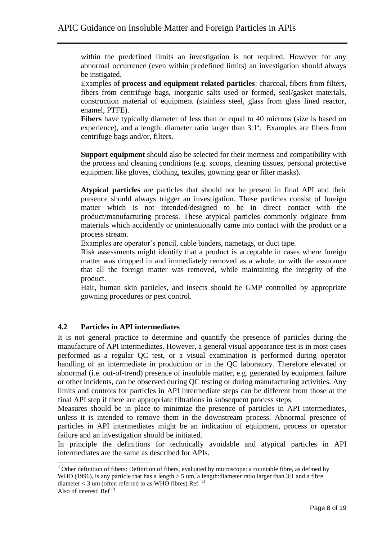within the predefined limits an investigation is not required. However for any abnormal occurrence (even within predefined limits) an investigation should always be instigated.

Examples of **process and equipment related particles**: charcoal, fibers from filters, fibers from centrifuge bags, inorganic salts used or formed, seal/gasket materials, construction material of equipment (stainless steel, glass from glass lined reactor, enamel, PTFE).

**Fibers** have typically diameter of less than or equal to 40 microns (size is based on experience), and a length: diameter ratio larger than  $3:1<sup>4</sup>$ . Examples are fibers from centrifuge bags and/or, filters.

**Support equipment** should also be selected for their inertness and compatibility with the process and cleaning conditions (e.g. scoops, cleaning tissues, personal protective equipment like gloves, clothing, textiles, gowning gear or filter masks).

**Atypical particles** are particles that should not be present in final API and their presence should always trigger an investigation. These particles consist of foreign matter which is not intended/designed to be in direct contact with the product/manufacturing process. These atypical particles commonly originate from materials which accidently or unintentionally came into contact with the product or a process stream.

Examples are operator's pencil, cable binders, nametags, or duct tape.

Risk assessments might identify that a product is acceptable in cases where foreign matter was dropped in and immediately removed as a whole, or with the assurance that all the foreign matter was removed, while maintaining the integrity of the product.

Hair, human skin particles, and insects should be GMP controlled by appropriate gowning procedures or pest control.

#### **4.2 Particles in API intermediates**

It is not general practice to determine and quantify the presence of particles during the manufacture of API intermediates. However, a general visual appearance test is in most cases performed as a regular QC test, or a visual examination is performed during operator handling of an intermediate in production or in the QC laboratory. Therefore elevated or abnormal (i.e. out-of-trend) presence of insoluble matter, e.g. generated by equipment failure or other incidents, can be observed during QC testing or during manufacturing activities. Any limits and controls for particles in API intermediate steps can be different from those at the final API step if there are appropriate filtrations in subsequent process steps.

Measures should be in place to minimize the presence of particles in API intermediates, unless it is intended to remove them in the downstream process. Abnormal presence of particles in API intermediates might be an indication of equipment, process or operator failure and an investigation should be initiated.

In principle the definitions for technically avoidable and atypical particles in API intermediates are the same as described for APIs.

-

<sup>&</sup>lt;sup>4</sup> Other definition of fibers: Definition of fibers, evaluated by microscope: a countable fibre, as defined by WHO (1996), is any particle that has a length  $> 5$  um, a length:diameter ratio larger than 3:1 and a fibre diameter  $<$  3 um (often referred to as WHO fibres) Ref.<sup>c)</sup>

Also of interest: Ref $d$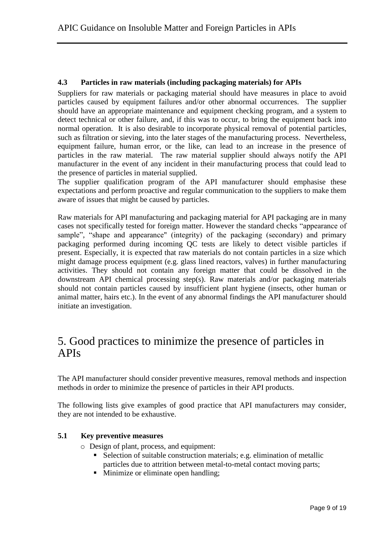#### **4.3 Particles in raw materials (including packaging materials) for APIs**

Suppliers for raw materials or packaging material should have measures in place to avoid particles caused by equipment failures and/or other abnormal occurrences. The supplier should have an appropriate maintenance and equipment checking program, and a system to detect technical or other failure, and, if this was to occur, to bring the equipment back into normal operation. It is also desirable to incorporate physical removal of potential particles, such as filtration or sieving, into the later stages of the manufacturing process. Nevertheless, equipment failure, human error, or the like, can lead to an increase in the presence of particles in the raw material. The raw material supplier should always notify the API manufacturer in the event of any incident in their manufacturing process that could lead to the presence of particles in material supplied.

The supplier qualification program of the API manufacturer should emphasise these expectations and perform proactive and regular communication to the suppliers to make them aware of issues that might be caused by particles.

Raw materials for API manufacturing and packaging material for API packaging are in many cases not specifically tested for foreign matter. However the standard checks "appearance of sample", "shape and appearance" (integrity) of the packaging (secondary) and primary packaging performed during incoming QC tests are likely to detect visible particles if present. Especially, it is expected that raw materials do not contain particles in a size which might damage process equipment (e.g. glass lined reactors, valves) in further manufacturing activities. They should not contain any foreign matter that could be dissolved in the downstream API chemical processing step(s). Raw materials and/or packaging materials should not contain particles caused by insufficient plant hygiene (insects, other human or animal matter, hairs etc.). In the event of any abnormal findings the API manufacturer should initiate an investigation.

## 5. Good practices to minimize the presence of particles in APIs

The API manufacturer should consider preventive measures, removal methods and inspection methods in order to minimize the presence of particles in their API products.

The following lists give examples of good practice that API manufacturers may consider, they are not intended to be exhaustive.

#### **5.1 Key preventive measures**

- o Design of plant, process, and equipment:
	- Selection of suitable construction materials; e.g. elimination of metallic particles due to attrition between metal-to-metal contact moving parts;
	- Minimize or eliminate open handling;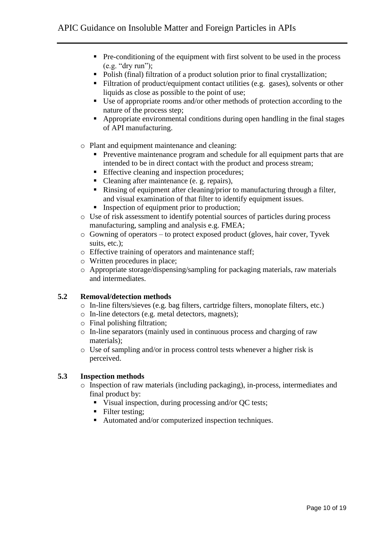- $\blacksquare$  Pre-conditioning of the equipment with first solvent to be used in the process (e.g. "dry run");
- Polish (final) filtration of a product solution prior to final crystallization;
- Filtration of product/equipment contact utilities (e.g. gases), solvents or other liquids as close as possible to the point of use;
- Use of appropriate rooms and/or other methods of protection according to the nature of the process step;
- Appropriate environmental conditions during open handling in the final stages of API manufacturing.
- o Plant and equipment maintenance and cleaning:
	- **Preventive maintenance program and schedule for all equipment parts that are** intended to be in direct contact with the product and process stream;
	- Effective cleaning and inspection procedures;
	- Cleaning after maintenance (e. g. repairs),
	- Rinsing of equipment after cleaning/prior to manufacturing through a filter, and visual examination of that filter to identify equipment issues.
	- Inspection of equipment prior to production;
- o Use of risk assessment to identify potential sources of particles during process manufacturing, sampling and analysis e.g. FMEA;
- o Gowning of operators to protect exposed product (gloves, hair cover, Tyvek suits, etc.);
- o Effective training of operators and maintenance staff;
- o Written procedures in place;
- o Appropriate storage/dispensing/sampling for packaging materials, raw materials and intermediates.

#### **5.2 Removal/detection methods**

- o In-line filters/sieves (e.g. bag filters, cartridge filters, monoplate filters, etc.)
- o In-line detectors (e.g. metal detectors, magnets);
- o Final polishing filtration;
- o In-line separators (mainly used in continuous process and charging of raw materials);
- o Use of sampling and/or in process control tests whenever a higher risk is perceived.

#### **5.3 Inspection methods**

- o Inspection of raw materials (including packaging), in-process, intermediates and final product by:
	- Visual inspection, during processing and/or QC tests;
	- Filter testing:
	- Automated and/or computerized inspection techniques.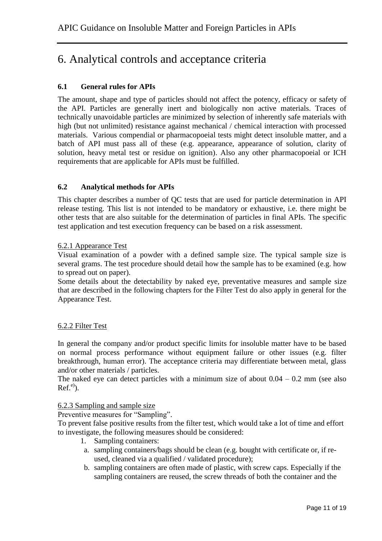# 6. Analytical controls and acceptance criteria

#### **6.1 General rules for APIs**

The amount, shape and type of particles should not affect the potency, efficacy or safety of the API. Particles are generally inert and biologically non active materials. Traces of technically unavoidable particles are minimized by selection of inherently safe materials with high (but not unlimited) resistance against mechanical / chemical interaction with processed materials. Various compendial or pharmacopoeial tests might detect insoluble matter, and a batch of API must pass all of these (e.g. appearance, appearance of solution, clarity of solution, heavy metal test or residue on ignition). Also any other pharmacopoeial or ICH requirements that are applicable for APIs must be fulfilled.

#### **6.2 Analytical methods for APIs**

This chapter describes a number of QC tests that are used for particle determination in API release testing. This list is not intended to be mandatory or exhaustive, i.e. there might be other tests that are also suitable for the determination of particles in final APIs. The specific test application and test execution frequency can be based on a risk assessment.

#### 6.2.1 Appearance Test

Visual examination of a powder with a defined sample size. The typical sample size is several grams. The test procedure should detail how the sample has to be examined (e.g. how to spread out on paper).

Some details about the detectability by naked eye, preventative measures and sample size that are described in the following chapters for the Filter Test do also apply in general for the Appearance Test.

#### 6.2.2 Filter Test

In general the company and/or product specific limits for insoluble matter have to be based on normal process performance without equipment failure or other issues (e.g. filter breakthrough, human error). The acceptance criteria may differentiate between metal, glass and/or other materials / particles.

The naked eye can detect particles with a minimum size of about  $0.04 - 0.2$  mm (see also  $Ref.<sup>e</sup>$ ).

#### 6.2.3 Sampling and sample size

Preventive measures for "Sampling".

To prevent false positive results from the filter test, which would take a lot of time and effort to investigate, the following measures should be considered:

- 1. Sampling containers:
- a. sampling containers/bags should be clean (e.g. bought with certificate or, if reused, cleaned via a qualified / validated procedure);
- b. sampling containers are often made of plastic, with screw caps. Especially if the sampling containers are reused, the screw threads of both the container and the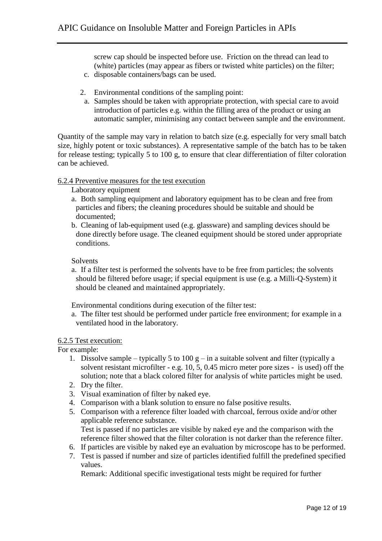screw cap should be inspected before use. Friction on the thread can lead to (white) particles (may appear as fibers or twisted white particles) on the filter;

- c. disposable containers/bags can be used.
- 2. Environmental conditions of the sampling point:
- a. Samples should be taken with appropriate protection, with special care to avoid introduction of particles e.g. within the filling area of the product or using an automatic sampler, minimising any contact between sample and the environment.

Quantity of the sample may vary in relation to batch size (e.g. especially for very small batch size, highly potent or toxic substances). A representative sample of the batch has to be taken for release testing; typically 5 to 100 g, to ensure that clear differentiation of filter coloration can be achieved.

#### 6.2.4 Preventive measures for the test execution

#### Laboratory equipment

- a. Both sampling equipment and laboratory equipment has to be clean and free from particles and fibers; the cleaning procedures should be suitable and should be documented;
- b. Cleaning of lab-equipment used (e.g. glassware) and sampling devices should be done directly before usage. The cleaned equipment should be stored under appropriate conditions.

#### Solvents

a. If a filter test is performed the solvents have to be free from particles; the solvents should be filtered before usage; if special equipment is use (e.g. a Milli-Q-System) it should be cleaned and maintained appropriately.

Environmental conditions during execution of the filter test:

a. The filter test should be performed under particle free environment; for example in a ventilated hood in the laboratory.

#### 6.2.5 Test execution:

For example:

- 1. Dissolve sample typically 5 to 100 g in a suitable solvent and filter (typically a solvent resistant microfilter - e.g. 10, 5, 0.45 micro meter pore sizes - is used) off the solution; note that a black colored filter for analysis of white particles might be used.
- 2. Dry the filter.
- 3. Visual examination of filter by naked eye.
- 4. Comparison with a blank solution to ensure no false positive results.
- 5. Comparison with a reference filter loaded with charcoal, ferrous oxide and/or other applicable reference substance. Test is passed if no particles are visible by naked eye and the comparison with the
- reference filter showed that the filter coloration is not darker than the reference filter.
- 6. If particles are visible by naked eye an evaluation by microscope has to be performed.
- 7. Test is passed if number and size of particles identified fulfill the predefined specified values.

Remark: Additional specific investigational tests might be required for further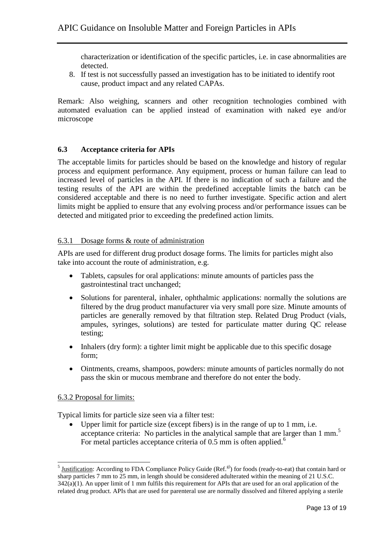characterization or identification of the specific particles, i.e. in case abnormalities are detected.

8. If test is not successfully passed an investigation has to be initiated to identify root cause, product impact and any related CAPAs.

Remark: Also weighing, scanners and other recognition technologies combined with automated evaluation can be applied instead of examination with naked eye and/or microscope

#### **6.3 Acceptance criteria for APIs**

The acceptable limits for particles should be based on the knowledge and history of regular process and equipment performance. Any equipment, process or human failure can lead to increased level of particles in the API. If there is no indication of such a failure and the testing results of the API are within the predefined acceptable limits the batch can be considered acceptable and there is no need to further investigate. Specific action and alert limits might be applied to ensure that any evolving process and/or performance issues can be detected and mitigated prior to exceeding the predefined action limits.

#### 6.3.1 Dosage forms & route of administration

APIs are used for different drug product dosage forms. The limits for particles might also take into account the route of administration, e.g.

- Tablets, capsules for oral applications: minute amounts of particles pass the gastrointestinal tract unchanged;
- Solutions for parenteral, inhaler, ophthalmic applications: normally the solutions are filtered by the drug product manufacturer via very small pore size. Minute amounts of particles are generally removed by that filtration step. Related Drug Product (vials, ampules, syringes, solutions) are tested for particulate matter during QC release testing;
- Inhalers (dry form): a tighter limit might be applicable due to this specific dosage form;
- Ointments, creams, shampoos, powders: minute amounts of particles normally do not pass the skin or mucous membrane and therefore do not enter the body.

#### 6.3.2 Proposal for limits:

Typical limits for particle size seen via a filter test:

 Upper limit for particle size (except fibers) is in the range of up to 1 mm, i.e. acceptance criteria: No particles in the analytical sample that are larger than 1 mm.<sup>5</sup> For metal particles acceptance criteria of  $0.5$  mm is often applied.<sup>6</sup>

<sup>&</sup>lt;sup>5</sup> <u>Justification</u>: According to FDA Compliance Policy Guide (Ref.<sup>g)</sup>) for foods (ready-to-eat) that contain hard or sharp particles 7 mm to 25 mm, in length should be considered adulterated within the meaning of 21 U.S.C.  $342(a)(1)$ . An upper limit of 1 mm fulfils this requirement for APIs that are used for an oral application of the related drug product. APIs that are used for parenteral use are normally dissolved and filtered applying a sterile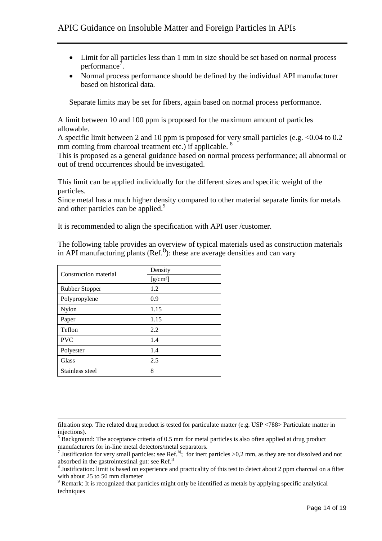- Limit for all particles less than 1 mm in size should be set based on normal process performance<sup>7</sup>.
- Normal process performance should be defined by the individual API manufacturer based on historical data.

Separate limits may be set for fibers, again based on normal process performance.

A limit between 10 and 100 ppm is proposed for the maximum amount of particles allowable.

A specific limit between 2 and 10 ppm is proposed for very small particles (e.g. <0.04 to 0.2 mm coming from charcoal treatment etc.) if applicable. <sup>8</sup>

This is proposed as a general guidance based on normal process performance; all abnormal or out of trend occurrences should be investigated.

This limit can be applied individually for the different sizes and specific weight of the particles.

Since metal has a much higher density compared to other material separate limits for metals and other particles can be applied.<sup>9</sup>

It is recommended to align the specification with API user /customer.

The following table provides an overview of typical materials used as construction materials in API manufacturing plants  $(Ref<sup>f</sup>)$ : these are average densities and can vary

| Construction material | Density    |
|-----------------------|------------|
|                       | $[g/cm^3]$ |
| Rubber Stopper        | 1.2        |
| Polypropylene         | 0.9        |
| Nylon                 | 1.15       |
| Paper                 | 1.15       |
| Teflon                | 2.2        |
| <b>PVC</b>            | 1.4        |
| Polyester             | 1.4        |
| Glass                 | 2.5        |
| Stainless steel       | 8          |

1

filtration step. The related drug product is tested for particulate matter (e.g. USP <788> Particulate matter in injections).

 $6\overline{B}$  Background: The acceptance criteria of 0.5 mm for metal particles is also often applied at drug product manufacturers for in-line metal detectors/metal separators.

<sup>&</sup>lt;sup>7</sup> Justification for very small particles: see Ref.<sup>h</sup>); for inert particles >0,2 mm, as they are not dissolved and not absorbed in the gastrointestinal gut: see Ref.<sup>i)</sup>

<sup>&</sup>lt;sup>8</sup> Justification: limit is based on experience and practicality of this test to detect about 2 ppm charcoal on a filter with about 25 to 50 mm diameter

<sup>&</sup>lt;sup>9</sup> Remark: It is recognized that particles might only be identified as metals by applying specific analytical techniques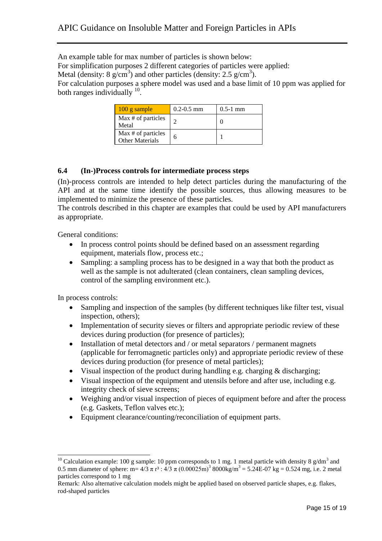An example table for max number of particles is shown below:

For simplification purposes 2 different categories of particles were applied:

Metal (density:  $8 \text{ g/cm}^3$ ) and other particles (density:  $2.5 \text{ g/cm}^3$ ).

For calculation purposes a sphere model was used and a base limit of 10 ppm was applied for both ranges individually  $^{10}$ .

| $100$ g sample                               | $0.2 - 0.5$ mm | $0.5-1$ mm |
|----------------------------------------------|----------------|------------|
| Max # of particles<br>Metal                  |                |            |
| Max # of particles<br><b>Other Materials</b> |                |            |

#### **6.4 (In-)Process controls for intermediate process steps**

(In)-process controls are intended to help detect particles during the manufacturing of the API and at the same time identify the possible sources, thus allowing measures to be implemented to minimize the presence of these particles.

The controls described in this chapter are examples that could be used by API manufacturers as appropriate.

General conditions:

- In process control points should be defined based on an assessment regarding equipment, materials flow, process etc.;
- Sampling: a sampling process has to be designed in a way that both the product as well as the sample is not adulterated (clean containers, clean sampling devices, control of the sampling environment etc.).

In process controls:

-

- Sampling and inspection of the samples (by different techniques like filter test, visual inspection, others);
- Implementation of security sieves or filters and appropriate periodic review of these devices during production (for presence of particles);
- Installation of metal detectors and / or metal separators / permanent magnets (applicable for ferromagnetic particles only) and appropriate periodic review of these devices during production (for presence of metal particles);
- Visual inspection of the product during handling e.g. charging & discharging;
- Visual inspection of the equipment and utensils before and after use, including e.g. integrity check of sieve screens;
- Weighing and/or visual inspection of pieces of equipment before and after the process (e.g. Gaskets, Teflon valves etc.);
- Equipment clearance/counting/reconciliation of equipment parts.

<sup>&</sup>lt;sup>10</sup> Calculation example: 100 g sample: 10 ppm corresponds to 1 mg. 1 metal particle with density 8  $g/dm<sup>3</sup>$  and 0.5 mm diameter of sphere: m= 4/3 π r<sup>3</sup> : 4/3 π (0.00025m)<sup>3</sup> 8000kg/m<sup>3</sup> = 5.24E-07 kg = 0.524 mg, i.e. 2 metal particles correspond to 1 mg

Remark: Also alternative calculation models might be applied based on observed particle shapes, e.g. flakes, rod-shaped particles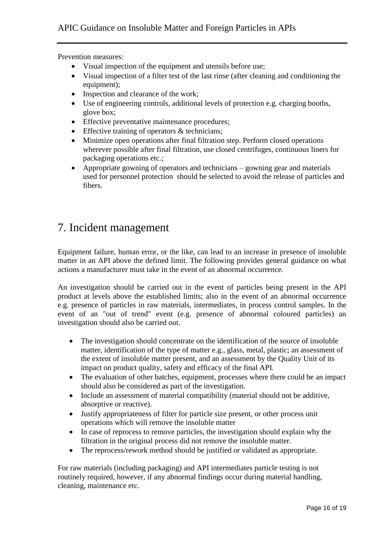Prevention measures:

- Visual inspection of the equipment and utensils before use;
- Visual inspection of a filter test of the last rinse (after cleaning and conditioning the equipment);
- Inspection and clearance of the work;
- Use of engineering controls, additional levels of protection e.g. charging booths, glove box;
- Effective preventative maintenance procedures;
- Effective training of operators & technicians;
- Minimize open operations after final filtration step. Perform closed operations wherever possible after final filtration, use closed centrifuges, continuous liners for packaging operations etc.;
- Appropriate gowning of operators and technicians gowning gear and materials used for personnel protection should be selected to avoid the release of particles and fibers.

# 7. Incident management

Equipment failure, human error, or the like, can lead to an increase in presence of insoluble matter in an API above the defined limit. The following provides general guidance on what actions a manufacturer must take in the event of an abnormal occurrence.

An investigation should be carried out in the event of particles being present in the API product at levels above the established limits; also in the event of an abnormal occurrence e.g. presence of particles in raw materials, intermediates, in process control samples. In the event of an "out of trend" event (e.g. presence of abnormal coloured particles) an investigation should also be carried out.

- The investigation should concentrate on the identification of the source of insoluble matter, identification of the type of matter e.g., glass, metal, plastic; an assessment of the extent of insoluble matter present, and an assessment by the Quality Unit of its impact on product quality, safety and efficacy of the final API.
- The evaluation of other batches, equipment, processes where there could be an impact should also be considered as part of the investigation.
- Include an assessment of material compatibility (material should not be additive, absorptive or reactive).
- Justify appropriateness of filter for particle size present, or other process unit operations which will remove the insoluble matter
- In case of reprocess to remove particles, the investigation should explain why the filtration in the original process did not remove the insoluble matter.
- The reprocess/rework method should be justified or validated as appropriate.

For raw materials (including packaging) and API intermediates particle testing is not routinely required, however, if any abnormal findings occur during material handling, cleaning, maintenance etc.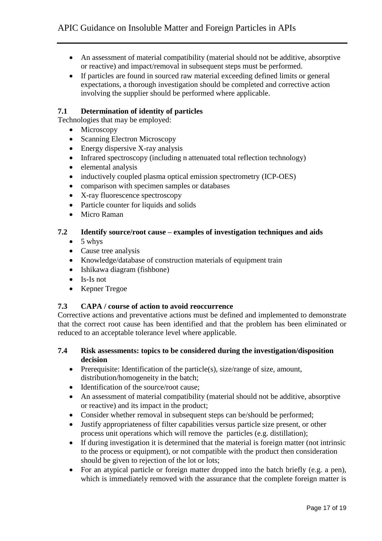- An assessment of material compatibility (material should not be additive, absorptive or reactive) and impact/removal in subsequent steps must be performed.
- If particles are found in sourced raw material exceeding defined limits or general expectations, a thorough investigation should be completed and corrective action involving the supplier should be performed where applicable.

#### **7.1 Determination of identity of particles**

Technologies that may be employed:

- Microscopy
- Scanning Electron Microscopy
- Energy dispersive X-ray analysis
- Infrared spectroscopy (including n attenuated total reflection technology)
- elemental analysis
- inductively coupled plasma optical emission spectrometry (ICP-OES)
- comparison with specimen samples or databases
- X-ray fluorescence spectroscopy
- Particle counter for liquids and solids
- Micro Raman

#### **7.2 Identify source/root cause – examples of investigation techniques and aids**

- $\bullet$  5 whys
- Cause tree analysis
- Knowledge/database of construction materials of equipment train
- Ishikawa diagram (fishbone)
- $\bullet$  Is-Is not
- Kepner Tregoe

#### **7.3 CAPA / course of action to avoid reoccurrence**

Corrective actions and preventative actions must be defined and implemented to demonstrate that the correct root cause has been identified and that the problem has been eliminated or reduced to an acceptable tolerance level where applicable.

- **7.4 Risk assessments: topics to be considered during the investigation/disposition decision**
	- Prerequisite: Identification of the particle(s), size/range of size, amount, distribution/homogeneity in the batch;
	- Identification of the source/root cause;
	- An assessment of material compatibility (material should not be additive, absorptive or reactive) and its impact in the product;
	- Consider whether removal in subsequent steps can be/should be performed;
	- Justify appropriateness of filter capabilities versus particle size present, or other process unit operations which will remove the particles (e.g. distillation);
	- If during investigation it is determined that the material is foreign matter (not intrinsic to the process or equipment), or not compatible with the product then consideration should be given to rejection of the lot or lots;
	- For an atypical particle or foreign matter dropped into the batch briefly (e.g. a pen), which is immediately removed with the assurance that the complete foreign matter is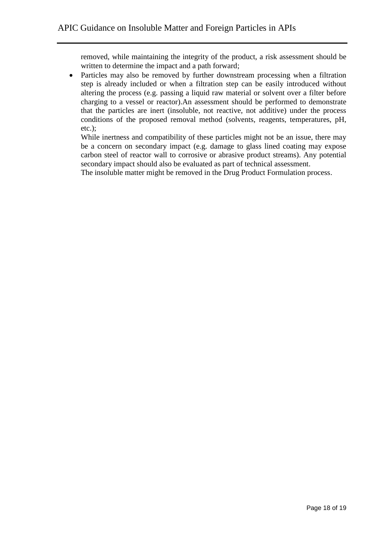removed, while maintaining the integrity of the product, a risk assessment should be written to determine the impact and a path forward;

• Particles may also be removed by further downstream processing when a filtration step is already included or when a filtration step can be easily introduced without altering the process (e.g. passing a liquid raw material or solvent over a filter before charging to a vessel or reactor).An assessment should be performed to demonstrate that the particles are inert (insoluble, not reactive, not additive) under the process conditions of the proposed removal method (solvents, reagents, temperatures, pH, etc.);

While inertness and compatibility of these particles might not be an issue, there may be a concern on secondary impact (e.g. damage to glass lined coating may expose carbon steel of reactor wall to corrosive or abrasive product streams). Any potential secondary impact should also be evaluated as part of technical assessment.

The insoluble matter might be removed in the Drug Product Formulation process.